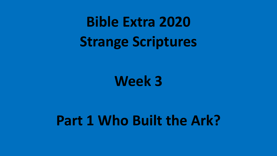**Bible Extra 2020 Strange Scriptures**

**Week 3**

# **Part 1 Who Built the Ark?**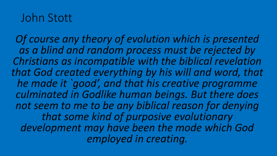### John Stott

*Of course any theory of evolution which is presented as a blind and random process must be rejected by Christians as incompatible with the biblical revelation that God created everything by his will and word, that he made it `good', and that his creative programme culminated in Godlike human beings. But there does not seem to me to be any biblical reason for denying that some kind of purposive evolutionary development may have been the mode which God employed in creating.*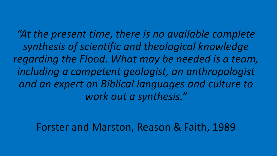*"At the present time, there is no available complete synthesis of scientific and theological knowledge regarding the Flood. What may be needed is a team, including a competent geologist, an anthropologist and an expert on Biblical languages and culture to work out a synthesis."*

#### Forster and Marston, Reason & Faith, 1989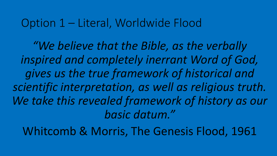#### Option 1 – Literal, Worldwide Flood

*"We believe that the Bible, as the verbally inspired and completely inerrant Word of God, gives us the true framework of historical and scientific interpretation, as well as religious truth.*  We take this revealed framework of history as our *basic datum."*

Whitcomb & Morris, The Genesis Flood, 1961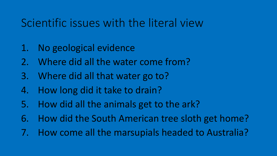### Scientific issues with the literal view

- 1. No geological evidence
- 2. Where did all the water come from?
- 3. Where did all that water go to?
- 4. How long did it take to drain?
- 5. How did all the animals get to the ark?
- 6. How did the South American tree sloth get home?
- 7. How come all the marsupials headed to Australia?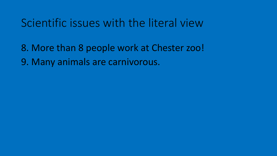### Scientific issues with the literal view

8. More than 8 people work at Chester zoo! 9. Many animals are carnivorous.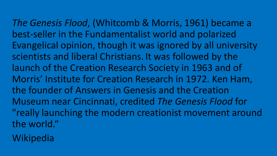*The Genesis Flood*, (Whitcomb & Morris, 1961) became a best-seller in the Fundamentalist world and polarized Evangelical opinion, though it was ignored by all university scientists and liberal Christians. It was followed by the launch of the Creation Research Society in 1963 and of Morris' Institute for Creation Research in 1972. Ken Ham, the founder of Answers in Genesis and the Creation Museum near Cincinnati, credited *The Genesis Flood* for "really launching the modern creationist movement around the world."

Wikipedia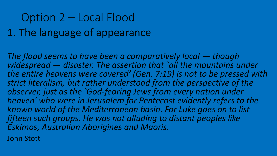## Option 2 – Local Flood 1. The language of appearance

*The flood seems to have been a comparatively local — though widespread — disaster. The assertion that `all the mountains under the entire heavens were covered' (Gen. 7:19) is not to be pressed with strict literalism, but rather understood from the perspective of the observer, just as the `God-fearing Jews from every nation under heaven' who were in Jerusalem for Pentecost evidently refers to the known world of the Mediterranean basin. For Luke goes on to list fifteen such groups. He was not alluding to distant peoples like Eskimos, Australian Aborigines and Maoris.*

John Stott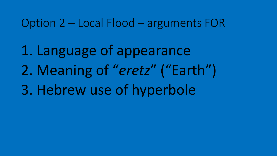Option 2 – Local Flood – arguments FOR

1. Language of appearance 2. Meaning of "*eretz*" ("Earth") 3. Hebrew use of hyperbole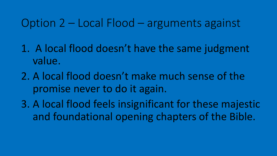#### Option 2 – Local Flood – arguments against

- 1. A local flood doesn't have the same judgment value.
- 2. A local flood doesn't make much sense of the promise never to do it again.
- 3. A local flood feels insignificant for these majestic and foundational opening chapters of the Bible.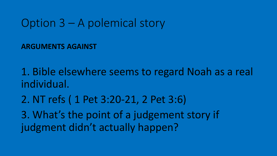#### Option 3 – A polemical story

**ARGUMENTS AGAINST**

1. Bible elsewhere seems to regard Noah as a real individual.

2. NT refs ( 1 Pet 3:20-21, 2 Pet 3:6)

3. What's the point of a judgement story if judgment didn't actually happen?